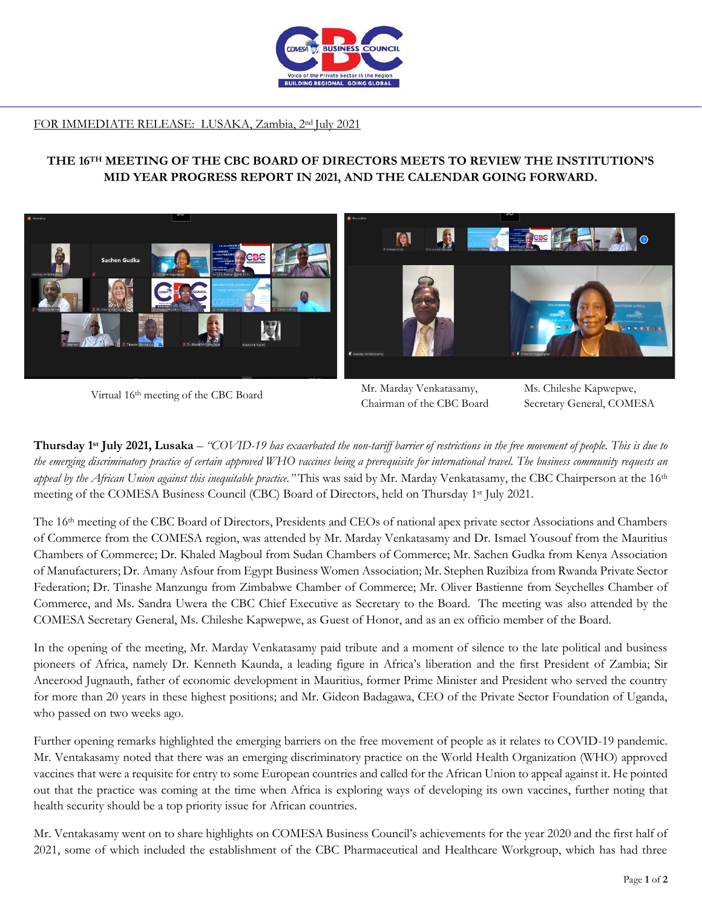

## FOR IMMEDIATE RELEASE: LUSAKA, Zambia, 2nd July 2021

## **THE 16TH MEETING OF THE CBC BOARD OF DIRECTORS MEETS TO REVIEW THE INSTITUTION'S MID YEAR PROGRESS REPORT IN 2021, AND THE CALENDAR GOING FORWARD.**



Virtual 16th meeting of the CBC Board

Mr. Marday Venkatasamy, Chairman of the CBC Board

Ms. Chileshe Kapwepwe, Secretary General, COMESA

**Thursday 1 st July 2021, Lusaka** – *"COVID-19 has exacerbated the non-tariff barrier of restrictions in the free movement of people. This is due to the emerging discriminatory practice of certain approved WHO vaccines being a prerequisite for international travel. The business community requests an appeal by the African Union against this inequitable practice."* This was said by Mr. Marday Venkatasamy, the CBC Chairperson at the 16th meeting of the COMESA Business Council (CBC) Board of Directors, held on Thursday 1st July 2021.

The 16th meeting of the CBC Board of Directors, Presidents and CEOs of national apex private sector Associations and Chambers of Commerce from the COMESA region, was attended by Mr. Marday Venkatasamy and Dr. Ismael Yousouf from the Mauritius Chambers of Commerce; Dr. Khaled Magboul from Sudan Chambers of Commerce; Mr. Sachen Gudka from Kenya Association of Manufacturers; Dr. Amany Asfour from Egypt Business Women Association; Mr. Stephen Ruzibiza from Rwanda Private Sector Federation; Dr. Tinashe Manzungu from Zimbabwe Chamber of Commerce; Mr. Oliver Bastienne from Seychelles Chamber of Commerce, and Ms. Sandra Uwera the CBC Chief Executive as Secretary to the Board. The meeting was also attended by the COMESA Secretary General, Ms. Chileshe Kapwepwe, as Guest of Honor, and as an ex officio member of the Board.

In the opening of the meeting, Mr. Marday Venkatasamy paid tribute and a moment of silence to the late political and business pioneers of Africa, namely Dr. Kenneth Kaunda, a leading figure in Africa's liberation and the first President of Zambia; Sir Aneerood Jugnauth, father of economic development in Mauritius, former Prime Minister and President who served the country for more than 20 years in these highest positions; and Mr. Gideon Badagawa, CEO of the Private Sector Foundation of Uganda, who passed on two weeks ago.

Further opening remarks highlighted the emerging barriers on the free movement of people as it relates to COVID-19 pandemic. Mr. Ventakasamy noted that there was an emerging discriminatory practice on the World Health Organization (WHO) approved vaccines that were a requisite for entry to some European countries and called for the African Union to appeal against it. He pointed out that the practice was coming at the time when Africa is exploring ways of developing its own vaccines, further noting that health security should be a top priority issue for African countries.

Mr. Ventakasamy went on to share highlights on COMESA Business Council's achievements for the year 2020 and the first half of 2021, some of which included the establishment of the CBC Pharmaceutical and Healthcare Workgroup, which has had three